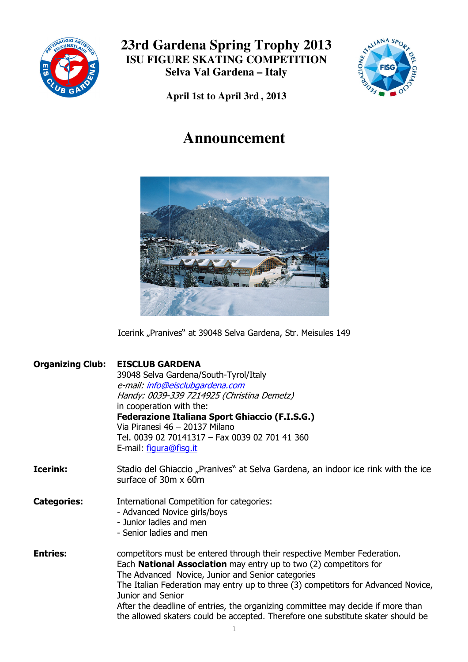



**April 1st to April 3rd , 2013**

# **Announcement**



Icerink "Pranives" at 39048 Selva Gardena, Str. Meisules 149

| <b>Organizing Club:</b> | <b>EISCLUB GARDENA</b><br>39048 Selva Gardena/South-Tyrol/Italy<br>e-mail: info@eisclubgardena.com<br>Handy: 0039-339 7214925 (Christina Demetz)<br>in cooperation with the:<br><b>Federazione Italiana Sport Ghiaccio (F.I.S.G.)</b><br>Via Piranesi 46 - 20137 Milano<br>Tel. 0039 02 70141317 - Fax 0039 02 701 41 360<br>E-mail: figura@fisg.it                                                                                                                                       |
|-------------------------|-------------------------------------------------------------------------------------------------------------------------------------------------------------------------------------------------------------------------------------------------------------------------------------------------------------------------------------------------------------------------------------------------------------------------------------------------------------------------------------------|
| <b>Icerink:</b>         | Stadio del Ghiaccio "Pranives" at Selva Gardena, an indoor ice rink with the ice<br>surface of 30m x 60m                                                                                                                                                                                                                                                                                                                                                                                  |
| <b>Categories:</b>      | International Competition for categories:<br>- Advanced Novice girls/boys<br>- Junior ladies and men<br>- Senior ladies and men                                                                                                                                                                                                                                                                                                                                                           |
| <b>Entries:</b>         | competitors must be entered through their respective Member Federation.<br>Each <b>National Association</b> may entry up to two (2) competitors for<br>The Advanced Novice, Junior and Senior categories<br>The Italian Federation may entry up to three (3) competitors for Advanced Novice,<br>Junior and Senior<br>After the deadline of entries, the organizing committee may decide if more than<br>the allowed skaters could be accepted. Therefore one substitute skater should be |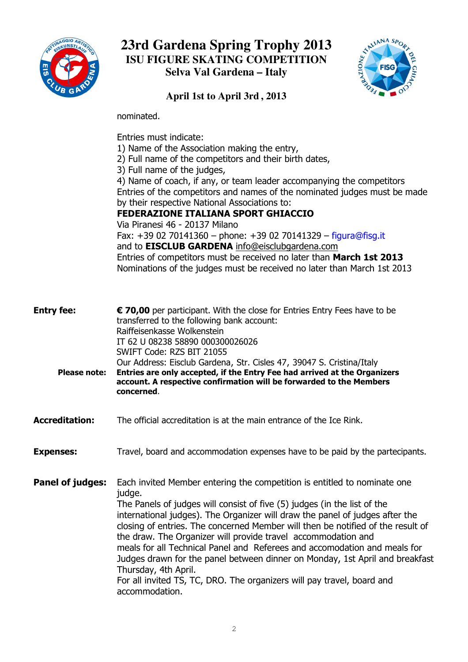



**April 1st to April 3rd , 2013**

nominated.

Entries must indicate: 1) Name of the Association making the entry, 2) Full name of the competitors and their birth dates, 3) Full name of the judges, 4) Name of coach, if any, or team leader accompanying the competitors Entries of the competitors and names of the nominated judges must be made by their respective National Associations to: FEDERAZIONE ITALIANA SPORT GHIACCIO Via Piranesi 46 46 - 20137 Milano Fax: +39 02 70141360 - phone: +39 02 70141329 - figura@fisg.it and to EISCLUB GARDENA info@eisclubgardena.com Entries of competitors must be received no later than March 1st 2013 Nominations of the judges must be received no later than March 1st 201 2013

| <b>Entry fee:</b><br><b>Please note:</b> | € 70,00 per participant. With the close for Entries Entry Fees have to be<br>transferred to the following bank account:<br>Raiffeisenkasse Wolkenstein<br>IT 62 U 08238 58890 000300026026<br>SWIFT Code: RZS BIT 21055<br>Our Address: Eisclub Gardena, Str. Cisles 47, 39047 S. Cristina/Italy<br>Entries are only accepted, if the Entry Fee had arrived at the Organizers<br>account. A respective confirmation will be forwarded to the Members<br>concerned.                                                                                                                                                                                                                  |
|------------------------------------------|-------------------------------------------------------------------------------------------------------------------------------------------------------------------------------------------------------------------------------------------------------------------------------------------------------------------------------------------------------------------------------------------------------------------------------------------------------------------------------------------------------------------------------------------------------------------------------------------------------------------------------------------------------------------------------------|
| <b>Accreditation:</b>                    | The official accreditation is at the main entrance of the Ice Rink.                                                                                                                                                                                                                                                                                                                                                                                                                                                                                                                                                                                                                 |
| <b>Expenses:</b>                         | Travel, board and accommodation expenses have to be paid by the partecipants.                                                                                                                                                                                                                                                                                                                                                                                                                                                                                                                                                                                                       |
| Panel of judges:                         | Each invited Member entering the competition is entitled to nominate one<br>judge.<br>The Panels of judges will consist of five (5) judges (in the list of the<br>international judges). The Organizer will draw the panel of judges after the<br>closing of entries. The concerned Member will then be notified of the result of<br>the draw. The Organizer will provide travel accommodation and<br>meals for all Technical Panel and Referees and accomodation and meals for<br>Judges drawn for the panel between dinner on Monday, 1st April and breakfast<br>Thursday, 4th April.<br>For all invited TS, TC, DRO. The organizers will pay travel, board and<br>accommodation. |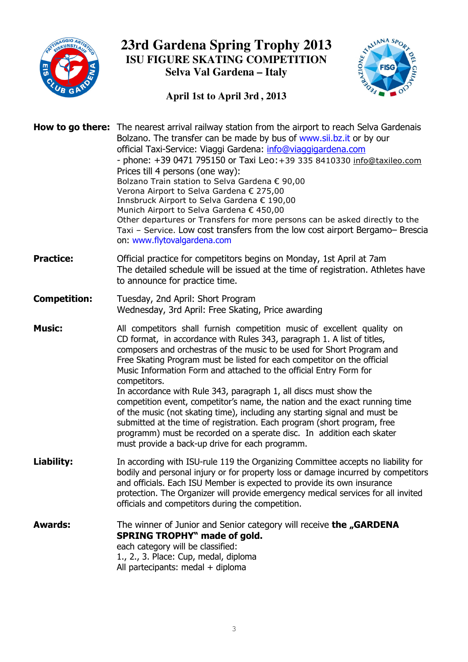



#### **April 1st to April 3rd , 2013**

|                     | <b>How to go there:</b> The nearest arrival railway station from the airport to reach Selva Gardenais<br>Bolzano. The transfer can be made by bus of www.sii.bz.it or by our<br>official Taxi-Service: Viaggi Gardena: info@viaggigardena.com<br>- phone: +39 0471 795150 or Taxi Leo: +39 335 8410330 info@taxileo.com<br>Prices till 4 persons (one way):<br>Bolzano Train station to Selva Gardena € 90,00<br>Verona Airport to Selva Gardena € 275,00<br>Innsbruck Airport to Selva Gardena € 190,00<br>Munich Airport to Selva Gardena € 450,00<br>Other departures or Transfers for more persons can be asked directly to the<br>Taxi - Service. Low cost transfers from the low cost airport Bergamo- Brescia<br>on: www.flytovalgardena.com                                                                                     |
|---------------------|-----------------------------------------------------------------------------------------------------------------------------------------------------------------------------------------------------------------------------------------------------------------------------------------------------------------------------------------------------------------------------------------------------------------------------------------------------------------------------------------------------------------------------------------------------------------------------------------------------------------------------------------------------------------------------------------------------------------------------------------------------------------------------------------------------------------------------------------|
| <b>Practice:</b>    | Official practice for competitors begins on Monday, 1st April at 7am<br>The detailed schedule will be issued at the time of registration. Athletes have<br>to announce for practice time.                                                                                                                                                                                                                                                                                                                                                                                                                                                                                                                                                                                                                                               |
| <b>Competition:</b> | Tuesday, 2nd April: Short Program<br>Wednesday, 3rd April: Free Skating, Price awarding                                                                                                                                                                                                                                                                                                                                                                                                                                                                                                                                                                                                                                                                                                                                                 |
| <b>Music:</b>       | All competitors shall furnish competition music of excellent quality on<br>CD format, in accordance with Rules 343, paragraph 1. A list of titles,<br>composers and orchestras of the music to be used for Short Program and<br>Free Skating Program must be listed for each competitor on the official<br>Music Information Form and attached to the official Entry Form for<br>competitors.<br>In accordance with Rule 343, paragraph 1, all discs must show the<br>competition event, competitor's name, the nation and the exact running time<br>of the music (not skating time), including any starting signal and must be<br>submitted at the time of registration. Each program (short program, free<br>programm) must be recorded on a sperate disc. In addition each skater<br>must provide a back-up drive for each programm. |
| Liability:          | In according with ISU-rule 119 the Organizing Committee accepts no liability for<br>bodily and personal injury or for property loss or damage incurred by competitors<br>and officials. Each ISU Member is expected to provide its own insurance<br>protection. The Organizer will provide emergency medical services for all invited<br>officials and competitors during the competition.                                                                                                                                                                                                                                                                                                                                                                                                                                              |
| <b>Awards:</b>      | The winner of Junior and Senior category will receive the "GARDENA<br><b>SPRING TROPHY" made of gold.</b><br>each category will be classified:<br>1., 2., 3. Place: Cup, medal, diploma<br>All partecipants: medal + diploma                                                                                                                                                                                                                                                                                                                                                                                                                                                                                                                                                                                                            |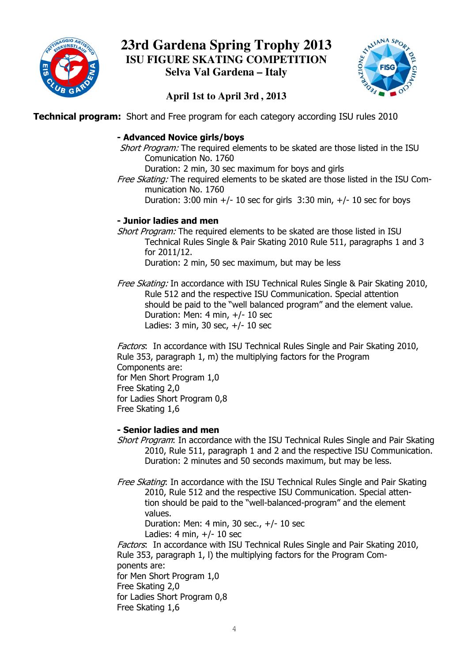



### **April 1st to April 3rd , 2013**

**Technical program:** Short and Free program for each category according ISU rules 2010

#### - Advanced Novice girls/boys

Short Program: The required elements to be skated are those listed in the ISU Comunication No. 1760

Duration: 2 min, 30 sec maximum for boys and girls

Free Skating: The required elements to be skated are those listed in the ISU Communication No. 1760

Duration:  $3:00$  min  $+/- 10$  sec for girls  $3:30$  min,  $+/- 10$  sec for boys

#### - Junior ladies and men

Short Program: The required elements to be skated are those listed in ISU Technical Rules Single & Pair Skating 2010 Rule 511, paragraphs 1 and 3 for 2011/12. Duration: 2 min, 50 sec maximum, but may be less

*Free Skating:* In accordance with ISU Technical Rules Single & Pair Skating 2010, Rule 512 and the respective ISU Communication. Special attention should be paid to the "well balanced program" and the element value. Duration: Men: 4 min, +/- 10 sec Ladies: 3 min, 30 sec, +/- 10 sec

> Factors: In accordance with ISU Technical Rules Single and Pair Skating 2010, Rule 353, paragraph 1, m) the multiplying factors for the Program Components are: for Men Short Program 1,0 Free Skating 2,0 for Ladies Short Program 0,8 Free Skating 1,6 53, paragraph 1, m) the multiplying factors for the Program<br>pnents are:<br>in Short Program 1,0<br>kating 2,0<br>dies Short Program 0,8<br>kating 1,6<br>**ior ladies and men**<br>*Program*: In accordance with the ISU Technical Rules Single an

#### - Senior ladies and men

- Short Program: In accordance with the ISU Technical Rules Single and Pair Skating 2010, Rule 511, paragraph 1 and 2 and the respective ISU Communication. Duration: 2 minutes and 50 seconds maximum, but may be less.
- Free Skating: In accordance with the ISU Technical Rules Single and Pair Skating 2010, Rule 512 and the respective ISU Communication. Special atten atten tion should be paid to the "well "well-balanced-program" and the element values.

Duration: Men: 4 min, 30 s sec., +/- 10 sec

 $L$ adies: 4 min,  $+/- 10$  sec

Factors: In accordance with ISU Technical Rules Single and Pair Skating 2010, tion should be paid to the "well-balanced-program" and the elen<br>values.<br>Duration: Men: 4 min, 30 sec., +/- 10 sec<br>Ladies: 4 min, +/- 10 sec<br>Factors: In accordance with ISU Technical Rules Single and Pair Skatin<br>Rule 353, p ponents are:

for Men Short Program 1,0

Free Skating 2,0

for Ladies Short Program 0,8

Free Skating 1,6